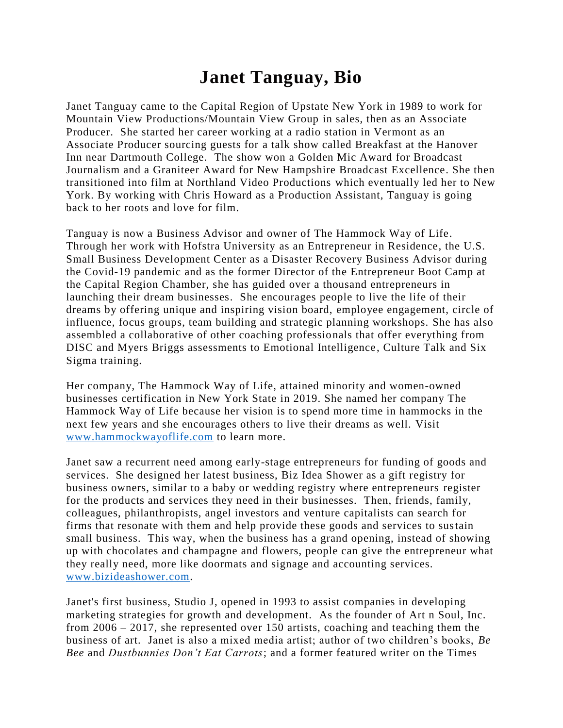## **Janet Tanguay, Bio**

Janet Tanguay came to the Capital Region of Upstate New York in 1989 to work for Mountain View Productions/Mountain View Group in sales, then as an Associate Producer. She started her career working at a radio station in Vermont as an Associate Producer sourcing guests for a talk show called Breakfast at the Hanover Inn near Dartmouth College. The show won a Golden Mic Award for Broadcast Journalism and a Graniteer Award for New Hampshire Broadcast Excellence. She then transitioned into film at Northland Video Productions which eventually led her to New York. By working with Chris Howard as a Production Assistant, Tanguay is going back to her roots and love for film.

Tanguay is now a Business Advisor and owner of The Hammock Way of Life. Through her work with Hofstra University as an Entrepreneur in Residence, the U.S. Small Business Development Center as a Disaster Recovery Business Advisor during the Covid-19 pandemic and as the former Director of the Entrepreneur Boot Camp at the Capital Region Chamber, she has guided over a thousand entrepreneurs in launching their dream businesses. She encourages people to live the life of their dreams by offering unique and inspiring vision board, employee engagement, circle of influence, focus groups, team building and strategic planning workshops. She has also assembled a collaborative of other coaching professionals that offer everything from DISC and Myers Briggs assessments to Emotional Intelligence, Culture Talk and Six Sigma training.

Her company, The Hammock Way of Life, attained minority and women-owned businesses certification in New York State in 2019. She named her company The Hammock Way of Life because her vision is to spend more time in hammocks in the next few years and she encourages others to live their dreams as well. Visit [www.hammockwayoflife.com](http://www.hammockwayoflife.com/) to learn more.

Janet saw a recurrent need among early-stage entrepreneurs for funding of goods and services. She designed her latest business, Biz Idea Shower as a gift registry for business owners, similar to a baby or wedding registry where entrepreneurs register for the products and services they need in their businesses. Then, friends, family, colleagues, philanthropists, angel investors and venture capitalists can search for firms that resonate with them and help provide these goods and services to sustain small business. This way, when the business has a grand opening, instead of showing up with chocolates and champagne and flowers, people can give the entrepreneur what they really need, more like doormats and signage and accounting services. [www.bizideashower.com.](http://www.bizideashower.com/)

Janet's first business, Studio J, opened in 1993 to assist companies in developing marketing strategies for growth and development. As the founder of Art n Soul, Inc. from 2006 – 2017, she represented over 150 artists, coaching and teaching them the business of art. Janet is also a mixed media artist; author of two children's books, *Be Bee* and *Dustbunnies Don't Eat Carrots*; and a former featured writer on the Times